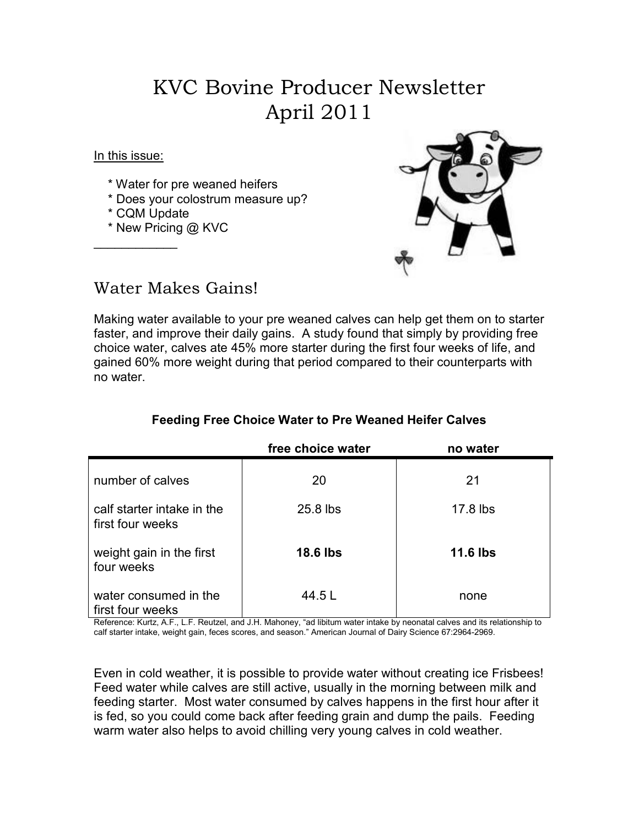# KVC Bovine Producer Newsletter April 2011

In this issue:

- \* Water for pre weaned heifers
- \* Does your colostrum measure up?
- \* CQM Update

 $\overline{\phantom{a}}$ 

\* New Pricing @ KVC



### Water Makes Gains!

Making water available to your pre weaned calves can help get them on to starter faster, and improve their daily gains. A study found that simply by providing free choice water, calves ate 45% more starter during the first four weeks of life, and gained 60% more weight during that period compared to their counterparts with no water.

|                                                | free choice water | no water        |
|------------------------------------------------|-------------------|-----------------|
| number of calves                               | 20                | 21              |
| calf starter intake in the<br>first four weeks | 25.8 lbs          | 17.8 lbs        |
| weight gain in the first<br>four weeks         | <b>18.6 lbs</b>   | <b>11.6 lbs</b> |
| water consumed in the<br>first four weeks      | 44.5 L            | none            |

### **Feeding Free Choice Water to Pre Weaned Heifer Calves**

Reference: Kurtz, A.F., L.F. Reutzel, and J.H. Mahoney, "ad libitum water intake by neonatal calves and its relationship to calf starter intake, weight gain, feces scores, and season." American Journal of Dairy Science 67:2964-2969.

Even in cold weather, it is possible to provide water without creating ice Frisbees! Feed water while calves are still active, usually in the morning between milk and feeding starter. Most water consumed by calves happens in the first hour after it is fed, so you could come back after feeding grain and dump the pails. Feeding warm water also helps to avoid chilling very young calves in cold weather.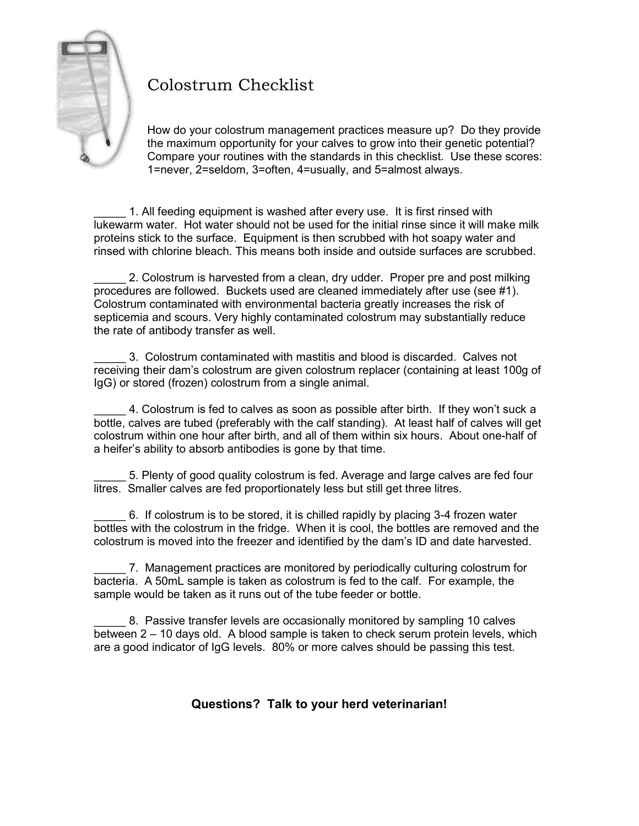

## Colostrum Checklist

How do your colostrum management practices measure up? Do they provide the maximum opportunity for your calves to grow into their genetic potential? Compare your routines with the standards in this checklist. Use these scores: 1=never, 2=seldom, 3=often, 4=usually, and 5=almost always.

1. All feeding equipment is washed after every use. It is first rinsed with lukewarm water. Hot water should not be used for the initial rinse since it will make milk proteins stick to the surface. Equipment is then scrubbed with hot soapy water and rinsed with chlorine bleach. This means both inside and outside surfaces are scrubbed.

2. Colostrum is harvested from a clean, dry udder. Proper pre and post milking procedures are followed. Buckets used are cleaned immediately after use (see #1). Colostrum contaminated with environmental bacteria greatly increases the risk of septicemia and scours. Very highly contaminated colostrum may substantially reduce the rate of antibody transfer as well.

\_\_\_\_\_ 3. Colostrum contaminated with mastitis and blood is discarded. Calves not receiving their dam's colostrum are given colostrum replacer (containing at least 100g of IgG) or stored (frozen) colostrum from a single animal.

\_\_\_\_\_ 4. Colostrum is fed to calves as soon as possible after birth. If they won't suck a bottle, calves are tubed (preferably with the calf standing). At least half of calves will get colostrum within one hour after birth, and all of them within six hours. About one-half of a heifer's ability to absorb antibodies is gone by that time.

\_\_\_\_\_ 5. Plenty of good quality colostrum is fed. Average and large calves are fed four litres. Smaller calves are fed proportionately less but still get three litres.

\_\_\_\_\_ 6. If colostrum is to be stored, it is chilled rapidly by placing 3-4 frozen water bottles with the colostrum in the fridge. When it is cool, the bottles are removed and the colostrum is moved into the freezer and identified by the dam's ID and date harvested.

7. Management practices are monitored by periodically culturing colostrum for bacteria. A 50mL sample is taken as colostrum is fed to the calf. For example, the sample would be taken as it runs out of the tube feeder or bottle.

\_\_\_\_\_ 8. Passive transfer levels are occasionally monitored by sampling 10 calves between 2 – 10 days old. A blood sample is taken to check serum protein levels, which are a good indicator of IgG levels. 80% or more calves should be passing this test.

#### **Questions? Talk to your herd veterinarian!**